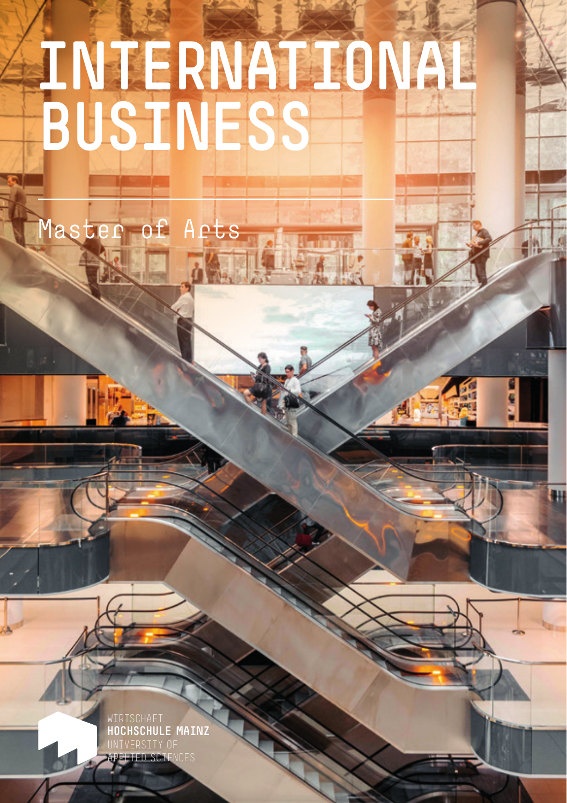# **INTERNATIONAL BUSINESS**

laster of Arts

WIRTSCHAFT **OCHSCHULE MAINZ** UNIVERSITY OF APPLIED SCIENCES